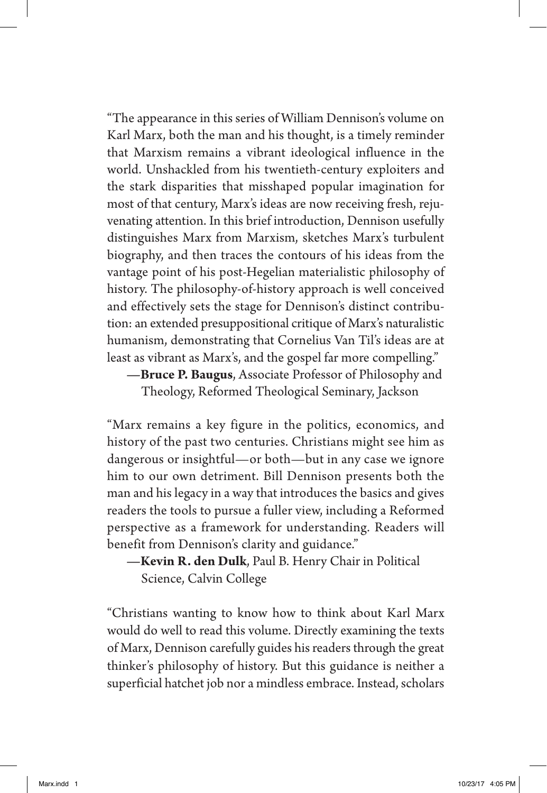"The appearance in this series of William Dennison's volume on Karl Marx, both the man and his thought, is a timely reminder that Marxism remains a vibrant ideological influence in the world. Unshackled from his twentieth-century exploiters and the stark disparities that misshaped popular imagination for most of that century, Marx's ideas are now receiving fresh, rejuvenating attention. In this brief introduction, Dennison usefully distinguishes Marx from Marxism, sketches Marx's turbulent biography, and then traces the contours of his ideas from the vantage point of his post-Hegelian materialistic philosophy of history. The philosophy-of-history approach is well conceived and effectively sets the stage for Dennison's distinct contribution: an extended presuppositional critique of Marx's naturalistic humanism, demonstrating that Cornelius Van Til's ideas are at least as vibrant as Marx's, and the gospel far more compelling."

**—Bruce P. Baugus**, Associate Professor of Philosophy and Theology, Reformed Theological Seminary, Jackson

"Marx remains a key figure in the politics, economics, and history of the past two centuries. Christians might see him as dangerous or insightful—or both—but in any case we ignore him to our own detriment. Bill Dennison presents both the man and his legacy in a way that introduces the basics and gives readers the tools to pursue a fuller view, including a Reformed perspective as a framework for understanding. Readers will benefit from Dennison's clarity and guidance."

**—Kevin R. den Dulk**, Paul B. Henry Chair in Political Science, Calvin College

"Christians wanting to know how to think about Karl Marx would do well to read this volume. Directly examining the texts of Marx, Dennison carefully guides his readers through the great thinker's philosophy of history. But this guidance is neither a superficial hatchet job nor a mindless embrace. Instead, scholars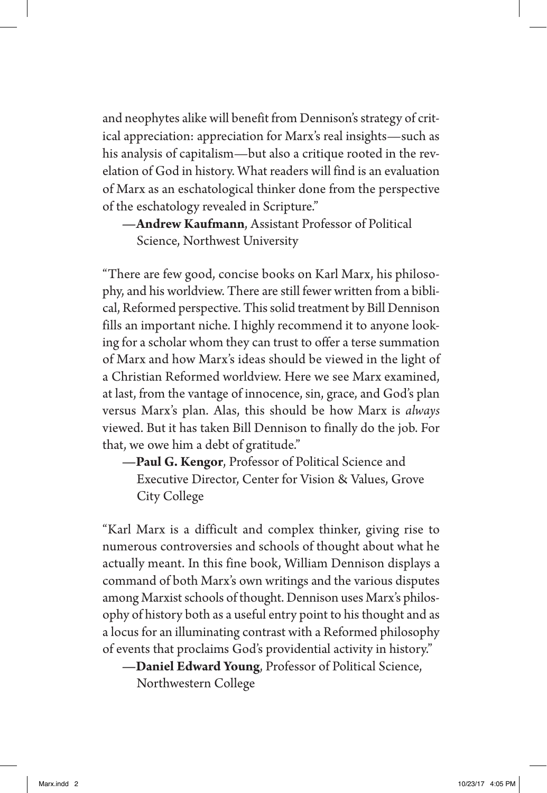and neophytes alike will benefit from Dennison's strategy of critical appreciation: appreciation for Marx's real insights—such as his analysis of capitalism—but also a critique rooted in the revelation of God in history. What readers will find is an evaluation of Marx as an eschatological thinker done from the perspective of the eschatology revealed in Scripture."

## **—Andrew Kaufmann**, Assistant Professor of Political Science, Northwest University

"There are few good, concise books on Karl Marx, his philosophy, and his worldview. There are still fewer written from a biblical, Reformed perspective. This solid treatment by Bill Dennison fills an important niche. I highly recommend it to anyone looking for a scholar whom they can trust to offer a terse summation of Marx and how Marx's ideas should be viewed in the light of a Christian Reformed worldview. Here we see Marx examined, at last, from the vantage of innocence, sin, grace, and God's plan versus Marx's plan. Alas, this should be how Marx is *always* viewed. But it has taken Bill Dennison to finally do the job. For that, we owe him a debt of gratitude."

**—Paul G. Kengor**, Professor of Political Science and Executive Director, Center for Vision & Values, Grove City College

"Karl Marx is a difficult and complex thinker, giving rise to numerous controversies and schools of thought about what he actually meant. In this fine book, William Dennison displays a command of both Marx's own writings and the various disputes among Marxist schools of thought. Dennison uses Marx's philosophy of history both as a useful entry point to his thought and as a locus for an illuminating contrast with a Reformed philosophy of events that proclaims God's providential activity in history."

**—Daniel Edward Young**, Professor of Political Science, Northwestern College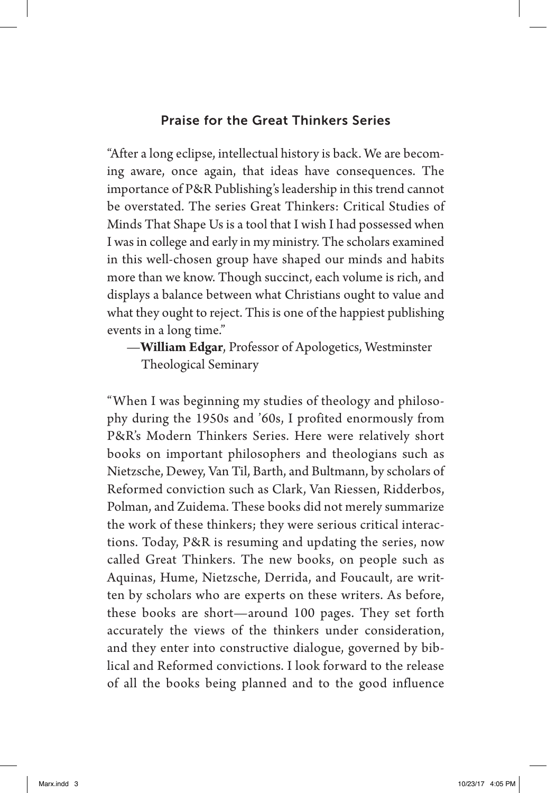## Praise for the Great Thinkers Series

"After a long eclipse, intellectual history is back. We are becoming aware, once again, that ideas have consequences. The importance of P&R Publishing's leadership in this trend cannot be overstated. The series Great Thinkers: Critical Studies of Minds That Shape Us is a tool that I wish I had possessed when I was in college and early in my ministry. The scholars examined in this well-chosen group have shaped our minds and habits more than we know. Though succinct, each volume is rich, and displays a balance between what Christians ought to value and what they ought to reject. This is one of the happiest publishing events in a long time."

—**William Edgar**, Professor of Apologetics, Westminster Theological Seminary

"When I was beginning my studies of theology and philosophy during the 1950s and '60s, I profited enormously from P&R's Modern Thinkers Series. Here were relatively short books on important philosophers and theologians such as Nietzsche, Dewey, Van Til, Barth, and Bultmann, by scholars of Reformed conviction such as Clark, Van Riessen, Ridderbos, Polman, and Zuidema. These books did not merely summarize the work of these thinkers; they were serious critical interactions. Today, P&R is resuming and updating the series, now called Great Thinkers. The new books, on people such as Aquinas, Hume, Nietzsche, Derrida, and Foucault, are written by scholars who are experts on these writers. As before, these books are short—around 100 pages. They set forth accurately the views of the thinkers under consideration, and they enter into constructive dialogue, governed by biblical and Reformed convictions. I look forward to the release of all the books being planned and to the good influence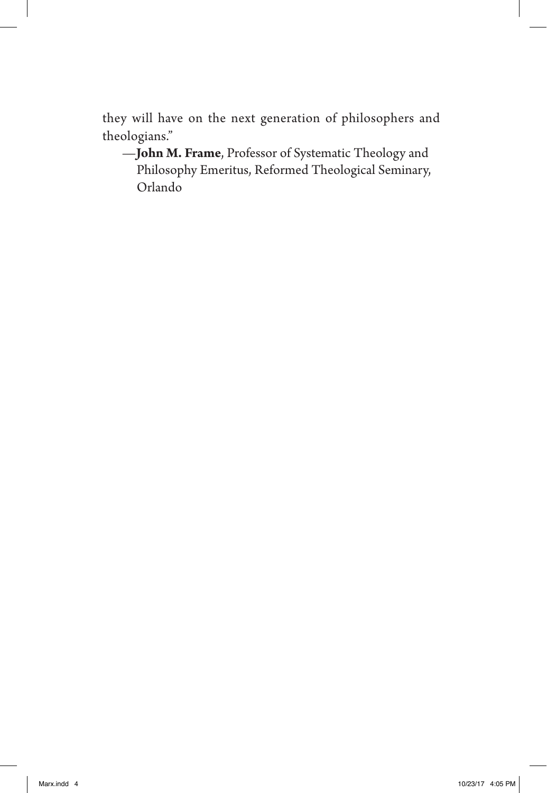they will have on the next generation of philosophers and theologians."

—**John M. Frame**, Professor of Systematic Theology and Philosophy Emeritus, Reformed Theological Seminary, Orlando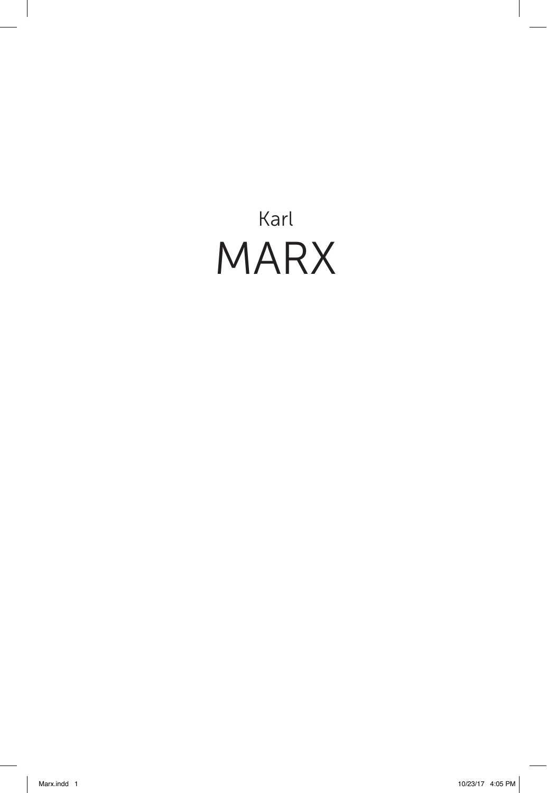## Karl MARX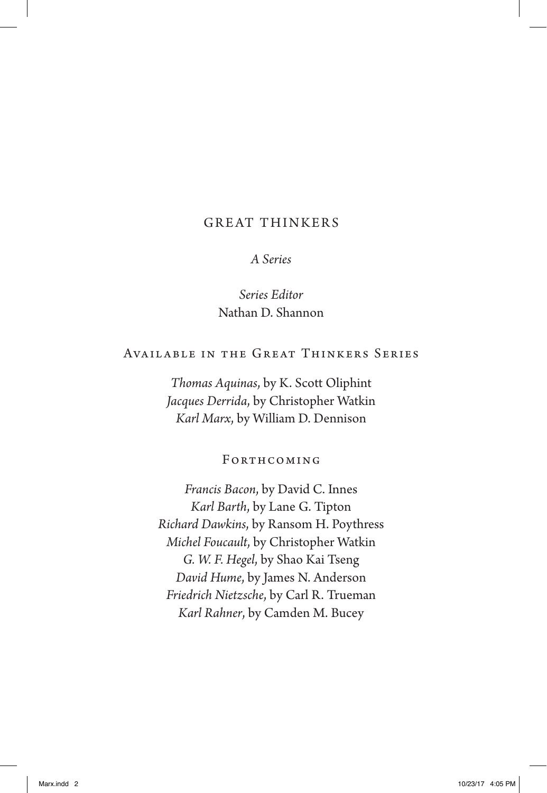## GREAT THINKER S

#### *A Series*

*Series Editor* Nathan D. Shannon

### Available in the Great Thinkers Series

*Thomas Aquinas*, by K. Scott Oliphint *Jacques Derrida*, by Christopher Watkin *Karl Marx*, by William D. Dennison

#### FORTHCOMING

*Francis Bacon*, by David C. Innes *Karl Barth*, by Lane G. Tipton *Richard Dawkins*, by Ransom H. Poythress *Michel Foucault*, by Christopher Watkin *G. W. F. Hegel*, by Shao Kai Tseng *David Hume*, by James N. Anderson *Friedrich Nietzsche*, by Carl R. Trueman *Karl Rahner*, by Camden M. Bucey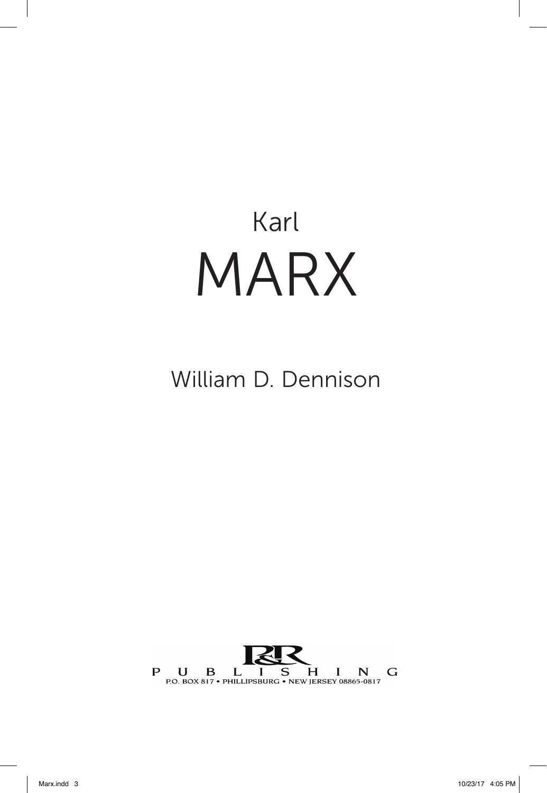# Karl MARX

## William D. Dennison

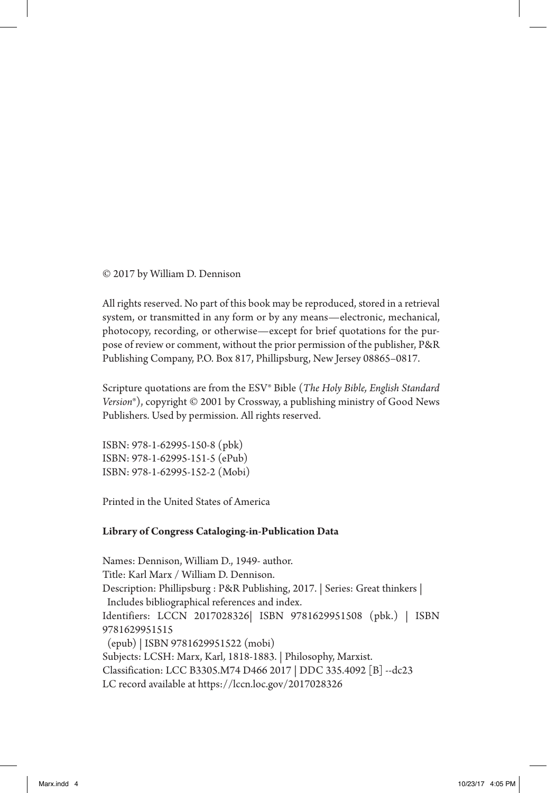© 2017 by William D. Dennison

All rights reserved. No part of this book may be reproduced, stored in a retrieval system, or transmitted in any form or by any means—electronic, mechanical, photocopy, recording, or otherwise—except for brief quotations for the purpose of review or comment, without the prior permission of the publisher, P&R Publishing Company, P.O. Box 817, Phillipsburg, New Jersey 08865–0817.

Scripture quotations are from the ESV® Bible (*The Holy Bible, English Standard Version*®), copyright © 2001 by Crossway, a publishing ministry of Good News Publishers. Used by permission. All rights reserved.

ISBN: 978-1-62995-150-8 (pbk) ISBN: 978-1-62995-151-5 (ePub) ISBN: 978-1-62995-152-2 (Mobi)

Printed in the United States of America

#### **Library of Congress Cataloging-in-Publication Data**

Names: Dennison, William D., 1949- author. Title: Karl Marx / William D. Dennison. Description: Phillipsburg : P&R Publishing, 2017. | Series: Great thinkers | Includes bibliographical references and index. Identifiers: LCCN 2017028326| ISBN 9781629951508 (pbk.) | ISBN 9781629951515 (epub) | ISBN 9781629951522 (mobi) Subjects: LCSH: Marx, Karl, 1818-1883. | Philosophy, Marxist. Classification: LCC B3305.M74 D466 2017 | DDC 335.4092 [B] --dc23 LC record available at https://lccn.loc.gov/2017028326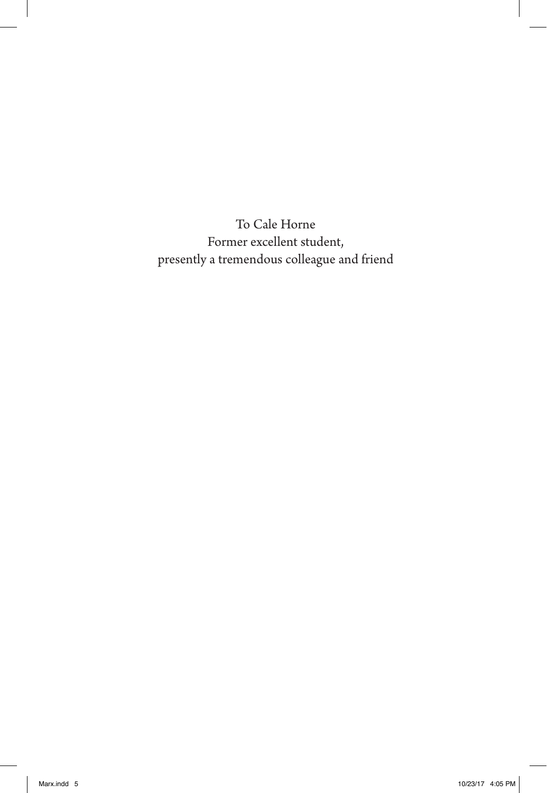To Cale Horne Former excellent student, presently a tremendous colleague and friend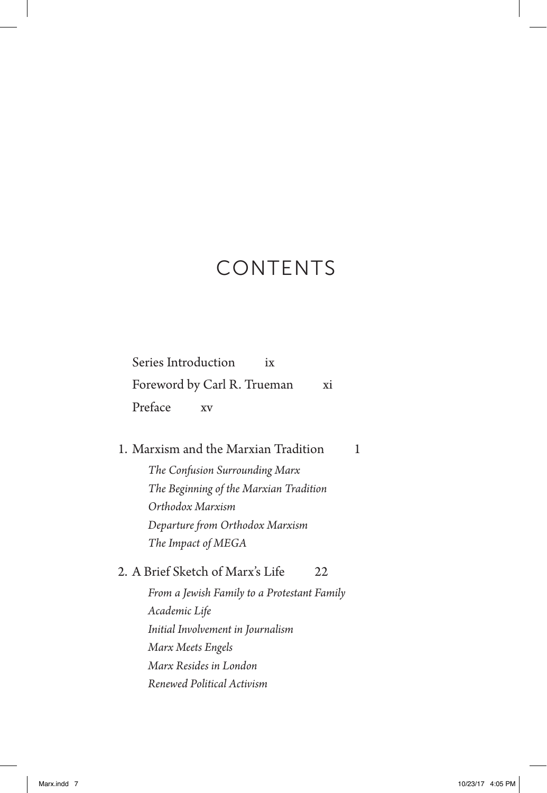## CONTENTS

Series Introduction ix Foreword by Carl R. Trueman xi Preface xv

1. Marxism and the Marxian Tradition 1

*The Confusion Surrounding Marx The Beginning of the Marxian Tradition Orthodox Marxism Departure from Orthodox Marxism The Impact of MEGA*

2. A Brief Sketch of Marx's Life 22

*From a Jewish Family to a Protestant Family Academic Life Initial Involvement in Journalism Marx Meets Engels Marx Resides in London Renewed Political Activism*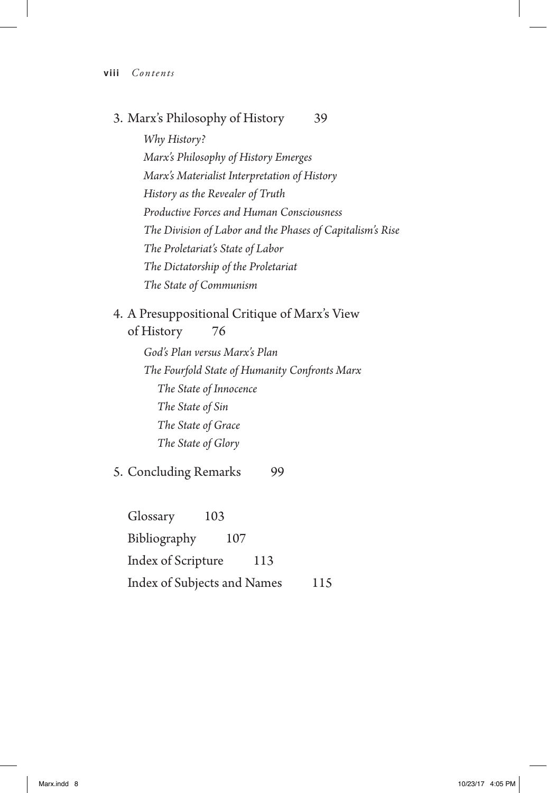3. Marx's Philosophy of History 39

*Why History? Marx's Philosophy of History Emerges Marx's Materialist Interpretation of History History as the Revealer of Truth Productive Forces and Human Consciousness The Division of Labor and the Phases of Capitalism's Rise The Proletariat's State of Labor The Dictatorship of the Proletariat The State of Communism*

4. A Presuppositional Critique of Marx's View of History 76

> *God's Plan versus Marx's Plan The Fourfold State of Humanity Confronts Marx The State of Innocence The State of Sin The State of Grace The State of Glory*

5. Concluding Remarks 99

Glossary 103 Bibliography 107 Index of Scripture 113 Index of Subjects and Names 115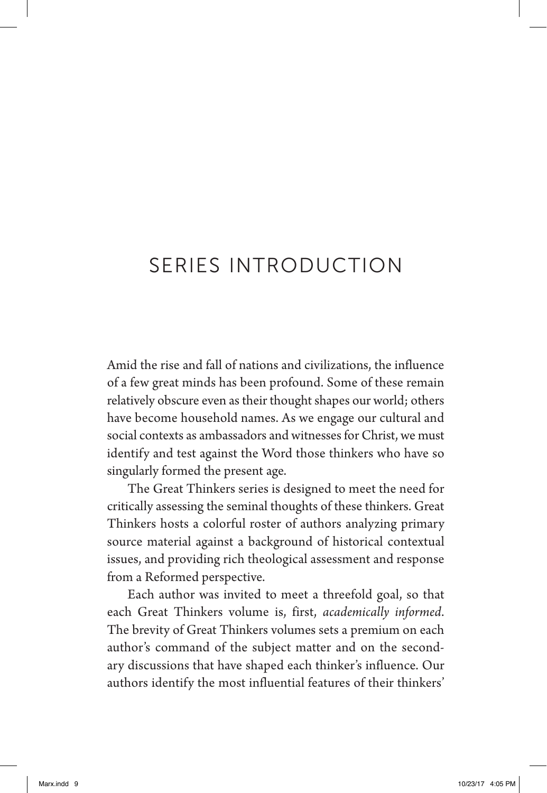## SERIES INTRODUCTION

Amid the rise and fall of nations and civilizations, the influence of a few great minds has been profound. Some of these remain relatively obscure even as their thought shapes our world; others have become household names. As we engage our cultural and social contexts as ambassadors and witnesses for Christ, we must identify and test against the Word those thinkers who have so singularly formed the present age.

The Great Thinkers series is designed to meet the need for critically assessing the seminal thoughts of these thinkers. Great Thinkers hosts a colorful roster of authors analyzing primary source material against a background of historical contextual issues, and providing rich theological assessment and response from a Reformed perspective.

Each author was invited to meet a threefold goal, so that each Great Thinkers volume is, first, *academically informed*. The brevity of Great Thinkers volumes sets a premium on each author's command of the subject matter and on the secondary discussions that have shaped each thinker's influence. Our authors identify the most influential features of their thinkers'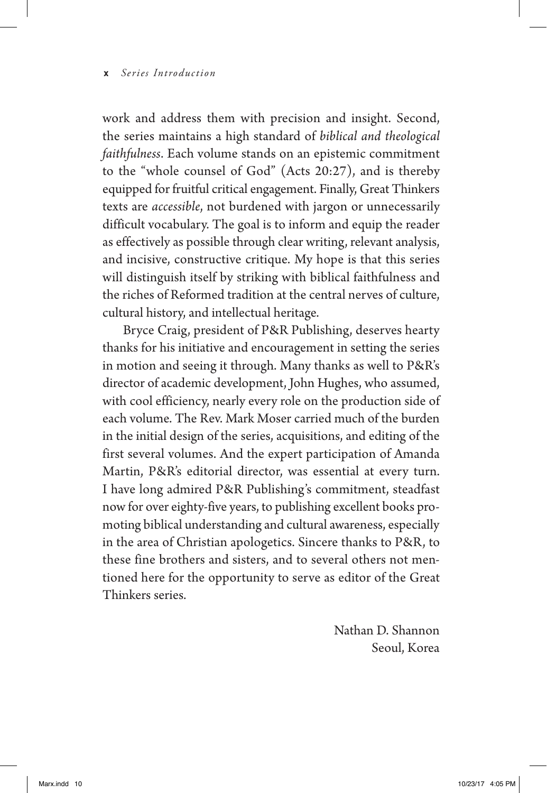work and address them with precision and insight. Second, the series maintains a high standard of *biblical and theological faithfulness*. Each volume stands on an epistemic commitment to the "whole counsel of God" (Acts 20:27), and is thereby equipped for fruitful critical engagement. Finally, Great Thinkers texts are *accessible*, not burdened with jargon or unnecessarily difficult vocabulary. The goal is to inform and equip the reader as effectively as possible through clear writing, relevant analysis, and incisive, constructive critique. My hope is that this series will distinguish itself by striking with biblical faithfulness and the riches of Reformed tradition at the central nerves of culture, cultural history, and intellectual heritage.

Bryce Craig, president of P&R Publishing, deserves hearty thanks for his initiative and encouragement in setting the series in motion and seeing it through. Many thanks as well to P&R's director of academic development, John Hughes, who assumed, with cool efficiency, nearly every role on the production side of each volume. The Rev. Mark Moser carried much of the burden in the initial design of the series, acquisitions, and editing of the first several volumes. And the expert participation of Amanda Martin, P&R's editorial director, was essential at every turn. I have long admired P&R Publishing's commitment, steadfast now for over eighty-five years, to publishing excellent books promoting biblical understanding and cultural awareness, especially in the area of Christian apologetics. Sincere thanks to P&R, to these fine brothers and sisters, and to several others not mentioned here for the opportunity to serve as editor of the Great Thinkers series.

> Nathan D. Shannon Seoul, Korea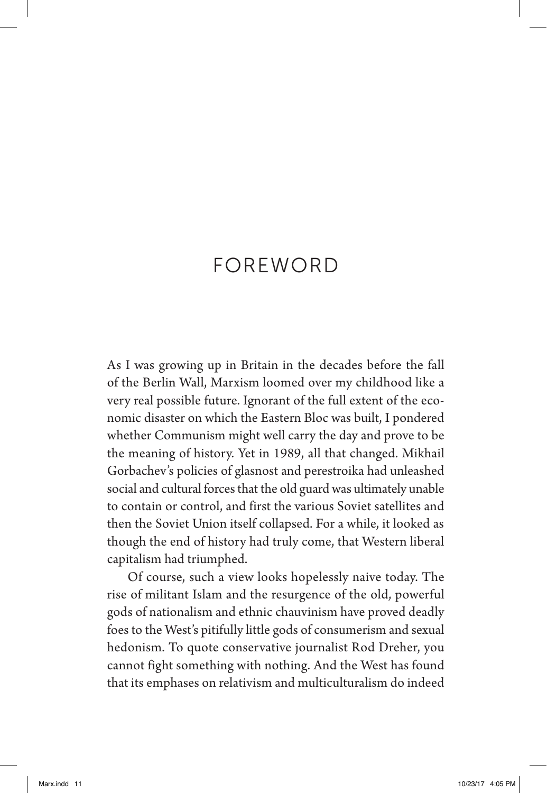## FOREWORD

As I was growing up in Britain in the decades before the fall of the Berlin Wall, Marxism loomed over my childhood like a very real possible future. Ignorant of the full extent of the economic disaster on which the Eastern Bloc was built, I pondered whether Communism might well carry the day and prove to be the meaning of history. Yet in 1989, all that changed. Mikhail Gorbachev's policies of glasnost and perestroika had unleashed social and cultural forces that the old guard was ultimately unable to contain or control, and first the various Soviet satellites and then the Soviet Union itself collapsed. For a while, it looked as though the end of history had truly come, that Western liberal capitalism had triumphed.

Of course, such a view looks hopelessly naive today. The rise of militant Islam and the resurgence of the old, powerful gods of nationalism and ethnic chauvinism have proved deadly foes to the West's pitifully little gods of consumerism and sexual hedonism. To quote conservative journalist Rod Dreher, you cannot fight something with nothing. And the West has found that its emphases on relativism and multiculturalism do indeed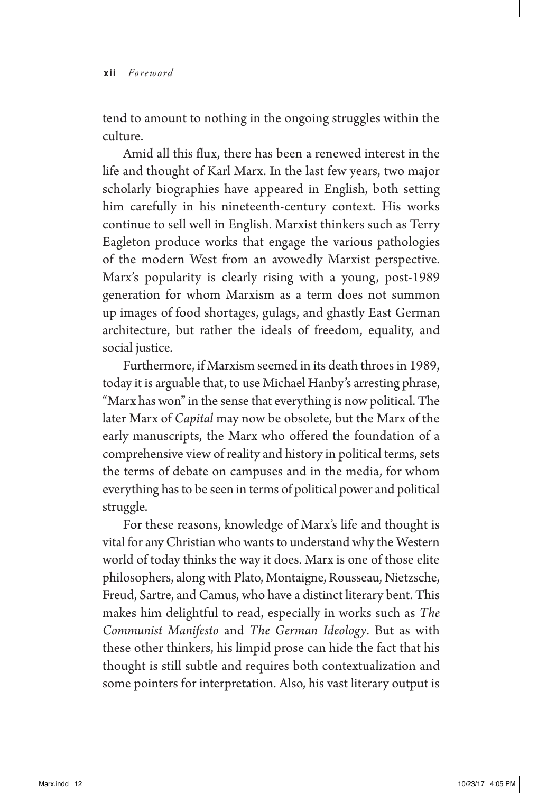tend to amount to nothing in the ongoing struggles within the culture.

Amid all this flux, there has been a renewed interest in the life and thought of Karl Marx. In the last few years, two major scholarly biographies have appeared in English, both setting him carefully in his nineteenth-century context. His works continue to sell well in English. Marxist thinkers such as Terry Eagleton produce works that engage the various pathologies of the modern West from an avowedly Marxist perspective. Marx's popularity is clearly rising with a young, post-1989 generation for whom Marxism as a term does not summon up images of food shortages, gulags, and ghastly East German architecture, but rather the ideals of freedom, equality, and social justice.

Furthermore, if Marxism seemed in its death throes in 1989, today it is arguable that, to use Michael Hanby's arresting phrase, "Marx has won" in the sense that everything is now political. The later Marx of *Capital* may now be obsolete, but the Marx of the early manuscripts, the Marx who offered the foundation of a comprehensive view of reality and history in political terms, sets the terms of debate on campuses and in the media, for whom everything has to be seen in terms of political power and political struggle.

For these reasons, knowledge of Marx's life and thought is vital for any Christian who wants to understand why the Western world of today thinks the way it does. Marx is one of those elite philosophers, along with Plato, Montaigne, Rousseau, Nietzsche, Freud, Sartre, and Camus, who have a distinct literary bent. This makes him delightful to read, especially in works such as *The Communist Manifesto* and *The German Ideology*. But as with these other thinkers, his limpid prose can hide the fact that his thought is still subtle and requires both contextualization and some pointers for interpretation. Also, his vast literary output is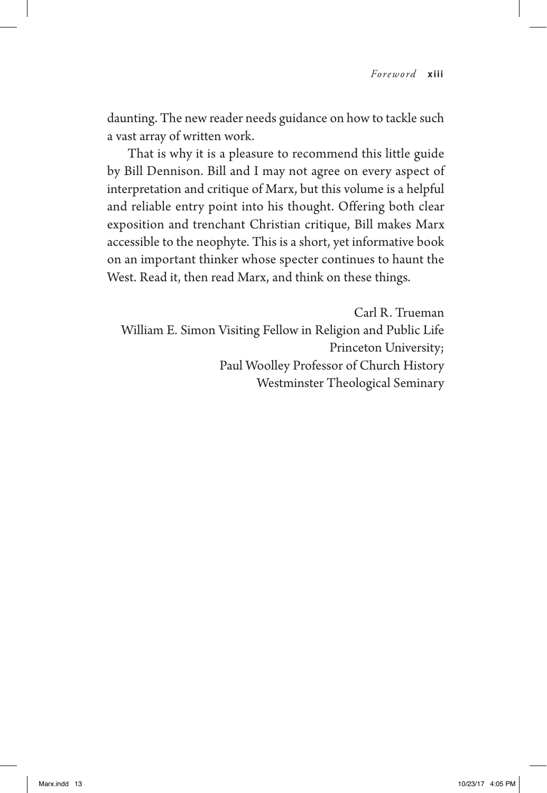daunting. The new reader needs guidance on how to tackle such a vast array of written work.

That is why it is a pleasure to recommend this little guide by Bill Dennison. Bill and I may not agree on every aspect of interpretation and critique of Marx, but this volume is a helpful and reliable entry point into his thought. Offering both clear exposition and trenchant Christian critique, Bill makes Marx accessible to the neophyte. This is a short, yet informative book on an important thinker whose specter continues to haunt the West. Read it, then read Marx, and think on these things.

Carl R. Trueman William E. Simon Visiting Fellow in Religion and Public Life Princeton University; Paul Woolley Professor of Church History Westminster Theological Seminary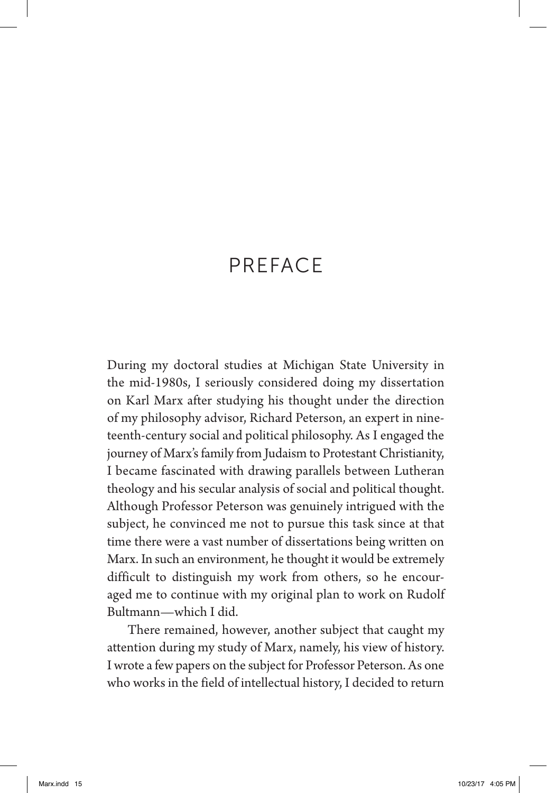## PREFACE

During my doctoral studies at Michigan State University in the mid-1980s, I seriously considered doing my dissertation on Karl Marx after studying his thought under the direction of my philosophy advisor, Richard Peterson, an expert in nineteenth-century social and political philosophy. As I engaged the journey of Marx's family from Judaism to Protestant Christianity, I became fascinated with drawing parallels between Lutheran theology and his secular analysis of social and political thought. Although Professor Peterson was genuinely intrigued with the subject, he convinced me not to pursue this task since at that time there were a vast number of dissertations being written on Marx. In such an environment, he thought it would be extremely difficult to distinguish my work from others, so he encouraged me to continue with my original plan to work on Rudolf Bultmann—which I did.

There remained, however, another subject that caught my attention during my study of Marx, namely, his view of history. I wrote a few papers on the subject for Professor Peterson. As one who works in the field of intellectual history, I decided to return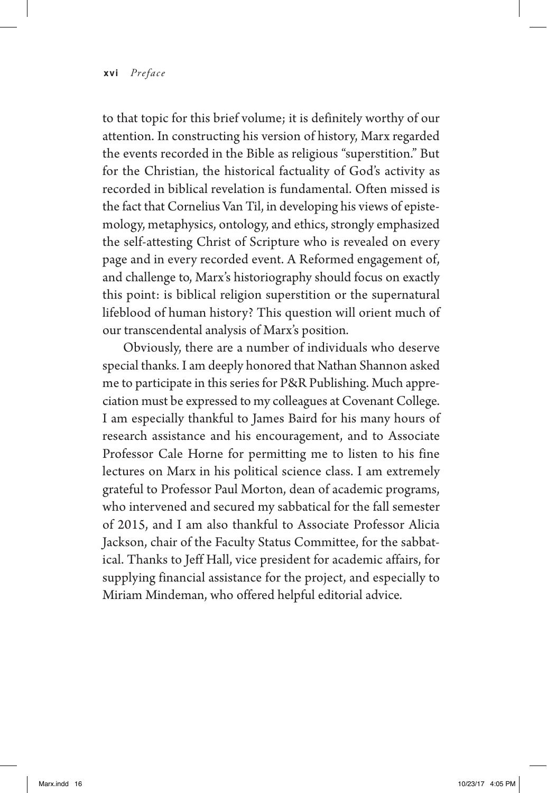to that topic for this brief volume; it is definitely worthy of our attention. In constructing his version of history, Marx regarded the events recorded in the Bible as religious "superstition." But for the Christian, the historical factuality of God's activity as recorded in biblical revelation is fundamental. Often missed is the fact that Cornelius Van Til, in developing his views of epistemology, metaphysics, ontology, and ethics, strongly emphasized the self-attesting Christ of Scripture who is revealed on every page and in every recorded event. A Reformed engagement of, and challenge to, Marx's historiography should focus on exactly this point: is biblical religion superstition or the supernatural lifeblood of human history? This question will orient much of our transcendental analysis of Marx's position.

Obviously, there are a number of individuals who deserve special thanks. I am deeply honored that Nathan Shannon asked me to participate in this series for P&R Publishing. Much appreciation must be expressed to my colleagues at Covenant College. I am especially thankful to James Baird for his many hours of research assistance and his encouragement, and to Associate Professor Cale Horne for permitting me to listen to his fine lectures on Marx in his political science class. I am extremely grateful to Professor Paul Morton, dean of academic programs, who intervened and secured my sabbatical for the fall semester of 2015, and I am also thankful to Associate Professor Alicia Jackson, chair of the Faculty Status Committee, for the sabbatical. Thanks to Jeff Hall, vice president for academic affairs, for supplying financial assistance for the project, and especially to Miriam Mindeman, who offered helpful editorial advice.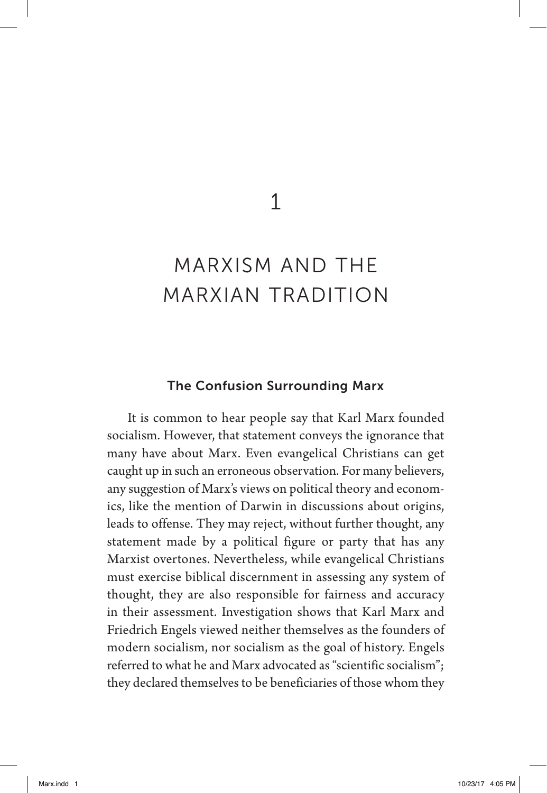1

## MARXISM AND THE MARXIAN TRADITION

#### The Confusion Surrounding Marx

It is common to hear people say that Karl Marx founded socialism. However, that statement conveys the ignorance that many have about Marx. Even evangelical Christians can get caught up in such an erroneous observation. For many believers, any suggestion of Marx's views on political theory and economics, like the mention of Darwin in discussions about origins, leads to offense. They may reject, without further thought, any statement made by a political figure or party that has any Marxist overtones. Nevertheless, while evangelical Christians must exercise biblical discernment in assessing any system of thought, they are also responsible for fairness and accuracy in their assessment. Investigation shows that Karl Marx and Friedrich Engels viewed neither themselves as the founders of modern socialism, nor socialism as the goal of history. Engels referred to what he and Marx advocated as "scientific socialism"; they declared themselves to be beneficiaries of those whom they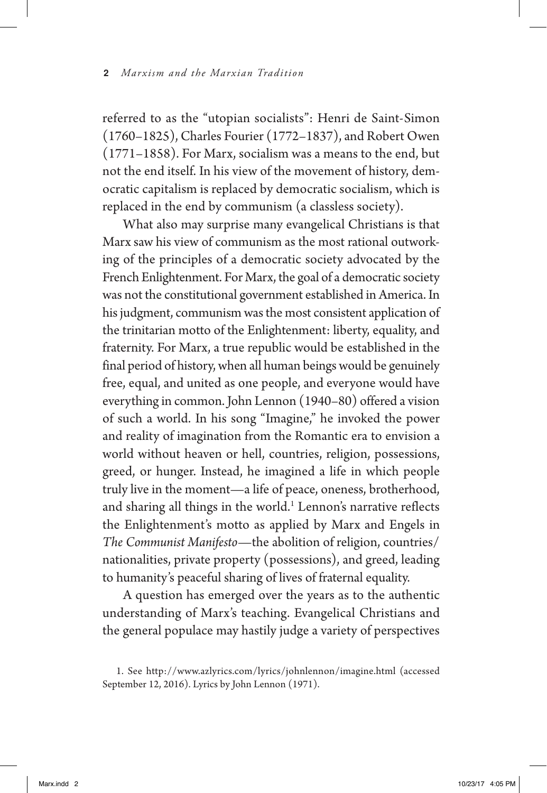referred to as the "utopian socialists": Henri de Saint-Simon (1760–1825), Charles Fourier (1772–1837), and Robert Owen (1771–1858). For Marx, socialism was a means to the end, but not the end itself. In his view of the movement of history, democratic capitalism is replaced by democratic socialism, which is replaced in the end by communism (a classless society).

What also may surprise many evangelical Christians is that Marx saw his view of communism as the most rational outworking of the principles of a democratic society advocated by the French Enlightenment. For Marx, the goal of a democratic society was not the constitutional government established in America. In his judgment, communism was the most consistent application of the trinitarian motto of the Enlightenment: liberty, equality, and fraternity. For Marx, a true republic would be established in the final period of history, when all human beings would be genuinely free, equal, and united as one people, and everyone would have everything in common. John Lennon (1940–80) offered a vision of such a world. In his song "Imagine," he invoked the power and reality of imagination from the Romantic era to envision a world without heaven or hell, countries, religion, possessions, greed, or hunger. Instead, he imagined a life in which people truly live in the moment—a life of peace, oneness, brotherhood, and sharing all things in the world.<sup>1</sup> Lennon's narrative reflects the Enlightenment's motto as applied by Marx and Engels in *The Communist Manifesto*—the abolition of religion, countries/ nationalities, private property (possessions), and greed, leading to humanity's peaceful sharing of lives of fraternal equality.

A question has emerged over the years as to the authentic understanding of Marx's teaching. Evangelical Christians and the general populace may hastily judge a variety of perspectives

<sup>1.</sup> See http://www.azlyrics.com/lyrics/johnlennon/imagine.html (accessed September 12, 2016). Lyrics by John Lennon (1971).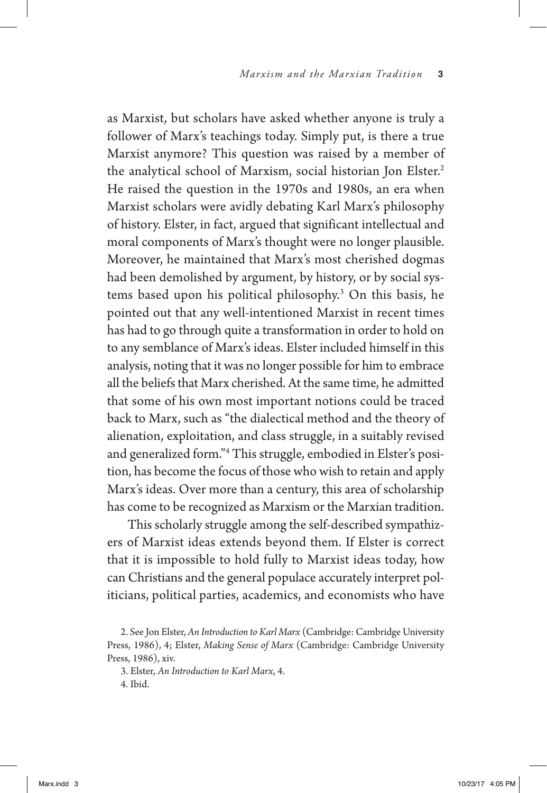as Marxist, but scholars have asked whether anyone is truly a follower of Marx's teachings today. Simply put, is there a true Marxist anymore? This question was raised by a member of the analytical school of Marxism, social historian Jon Elster.<sup>2</sup> He raised the question in the 1970s and 1980s, an era when Marxist scholars were avidly debating Karl Marx's philosophy of history. Elster, in fact, argued that significant intellectual and moral components of Marx's thought were no longer plausible. Moreover, he maintained that Marx's most cherished dogmas had been demolished by argument, by history, or by social systems based upon his political philosophy.3 On this basis, he pointed out that any well-intentioned Marxist in recent times has had to go through quite a transformation in order to hold on to any semblance of Marx's ideas. Elster included himself in this analysis, noting that it was no longer possible for him to embrace all the beliefs that Marx cherished. At the same time, he admitted that some of his own most important notions could be traced back to Marx, such as "the dialectical method and the theory of alienation, exploitation, and class struggle, in a suitably revised and generalized form."4 This struggle, embodied in Elster's position, has become the focus of those who wish to retain and apply Marx's ideas. Over more than a century, this area of scholarship has come to be recognized as Marxism or the Marxian tradition.

This scholarly struggle among the self-described sympathizers of Marxist ideas extends beyond them. If Elster is correct that it is impossible to hold fully to Marxist ideas today, how can Christians and the general populace accurately interpret politicians, political parties, academics, and economists who have

4. Ibid.

<sup>2.</sup> See Jon Elster, *An Introduction to Karl Marx* (Cambridge: Cambridge University Press, 1986), 4; Elster, *Making Sense of Marx* (Cambridge: Cambridge University Press, 1986), xiv.

<sup>3.</sup> Elster, *An Introduction to Karl Marx*, 4.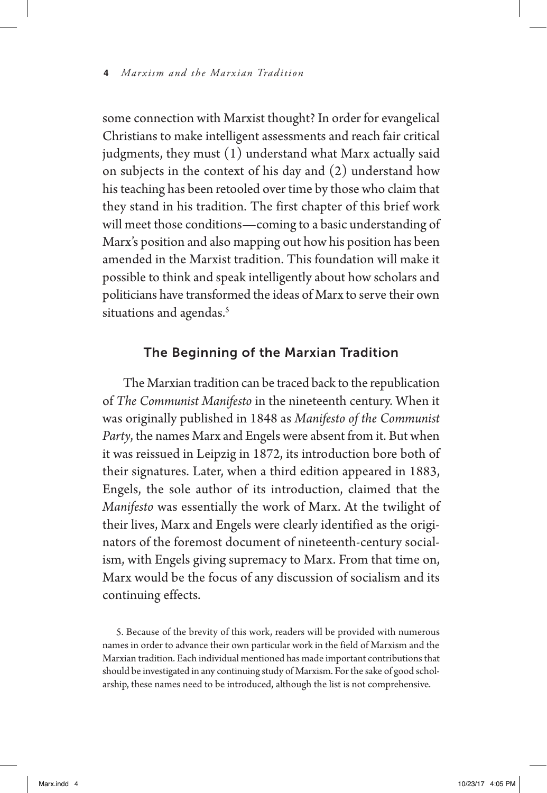some connection with Marxist thought? In order for evangelical Christians to make intelligent assessments and reach fair critical judgments, they must (1) understand what Marx actually said on subjects in the context of his day and (2) understand how his teaching has been retooled over time by those who claim that they stand in his tradition. The first chapter of this brief work will meet those conditions—coming to a basic understanding of Marx's position and also mapping out how his position has been amended in the Marxist tradition. This foundation will make it possible to think and speak intelligently about how scholars and politicians have transformed the ideas of Marx to serve their own situations and agendas.<sup>5</sup>

## The Beginning of the Marxian Tradition

The Marxian tradition can be traced back to the republication of *The Communist Manifesto* in the nineteenth century. When it was originally published in 1848 as *Manifesto of the Communist Party*, the names Marx and Engels were absent from it. But when it was reissued in Leipzig in 1872, its introduction bore both of their signatures. Later, when a third edition appeared in 1883, Engels, the sole author of its introduction, claimed that the *Manifesto* was essentially the work of Marx. At the twilight of their lives, Marx and Engels were clearly identified as the originators of the foremost document of nineteenth-century socialism, with Engels giving supremacy to Marx. From that time on, Marx would be the focus of any discussion of socialism and its continuing effects.

5. Because of the brevity of this work, readers will be provided with numerous names in order to advance their own particular work in the field of Marxism and the Marxian tradition. Each individual mentioned has made important contributions that should be investigated in any continuing study of Marxism. For the sake of good scholarship, these names need to be introduced, although the list is not comprehensive.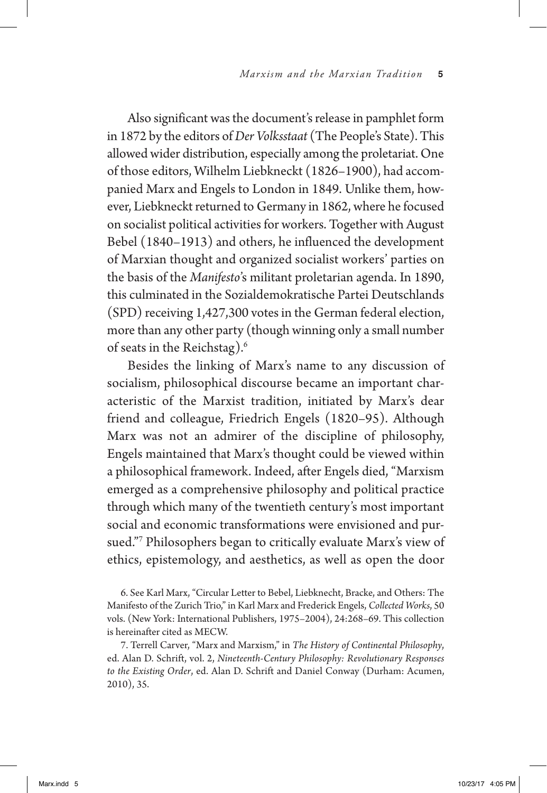Also significant was the document's release in pamphlet form in 1872 by the editors of *Der Volksstaat* (The People's State). This allowed wider distribution, especially among the proletariat. One of those editors, Wilhelm Liebkneckt (1826–1900), had accompanied Marx and Engels to London in 1849. Unlike them, however, Liebkneckt returned to Germany in 1862, where he focused on socialist political activities for workers. Together with August Bebel (1840–1913) and others, he influenced the development of Marxian thought and organized socialist workers' parties on the basis of the *Manifesto*'s militant proletarian agenda. In 1890, this culminated in the Sozialdemokratische Partei Deutschlands (SPD) receiving 1,427,300 votes in the German federal election, more than any other party (though winning only a small number of seats in the Reichstag).6

Besides the linking of Marx's name to any discussion of socialism, philosophical discourse became an important characteristic of the Marxist tradition, initiated by Marx's dear friend and colleague, Friedrich Engels (1820–95). Although Marx was not an admirer of the discipline of philosophy, Engels maintained that Marx's thought could be viewed within a philosophical framework. Indeed, after Engels died, "Marxism emerged as a comprehensive philosophy and political practice through which many of the twentieth century's most important social and economic transformations were envisioned and pursued."7 Philosophers began to critically evaluate Marx's view of ethics, epistemology, and aesthetics, as well as open the door

6. See Karl Marx, "Circular Letter to Bebel, Liebknecht, Bracke, and Others: The Manifesto of the Zurich Trio," in Karl Marx and Frederick Engels, *Collected Works*, 50 vols. (New York: International Publishers, 1975–2004), 24:268–69. This collection is hereinafter cited as MECW.

7. Terrell Carver, "Marx and Marxism," in *The History of Continental Philosophy*, ed. Alan D. Schrift, vol. 2, *Nineteenth-Century Philosophy: Revolutionary Responses to the Existing Order*, ed. Alan D. Schrift and Daniel Conway (Durham: Acumen, 2010), 35.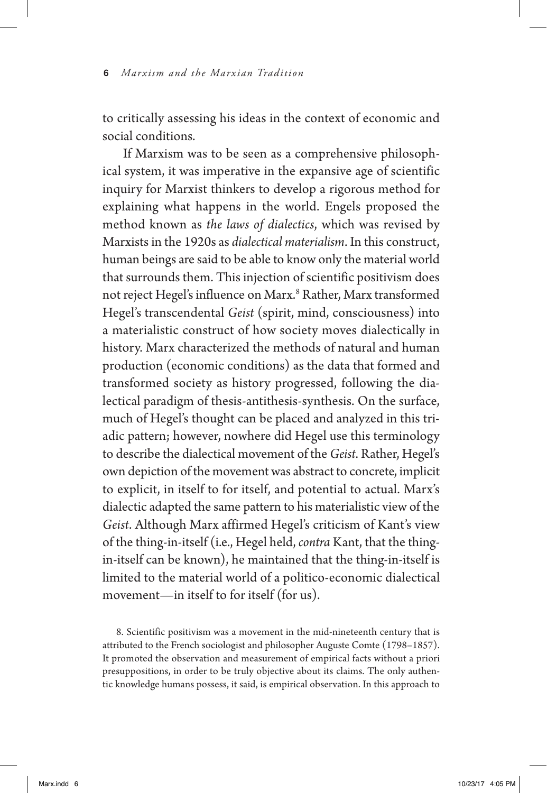to critically assessing his ideas in the context of economic and social conditions.

If Marxism was to be seen as a comprehensive philosophical system, it was imperative in the expansive age of scientific inquiry for Marxist thinkers to develop a rigorous method for explaining what happens in the world. Engels proposed the method known as *the laws of dialectics*, which was revised by Marxists in the 1920s as *dialectical materialism*. In this construct, human beings are said to be able to know only the material world that surrounds them. This injection of scientific positivism does not reject Hegel's influence on Marx.8 Rather, Marx transformed Hegel's transcendental *Geist* (spirit, mind, consciousness) into a materialistic construct of how society moves dialectically in history. Marx characterized the methods of natural and human production (economic conditions) as the data that formed and transformed society as history progressed, following the dialectical paradigm of thesis-antithesis-synthesis. On the surface, much of Hegel's thought can be placed and analyzed in this triadic pattern; however, nowhere did Hegel use this terminology to describe the dialectical movement of the *Geist*. Rather, Hegel's own depiction of the movement was abstract to concrete, implicit to explicit, in itself to for itself, and potential to actual. Marx's dialectic adapted the same pattern to his materialistic view of the *Geist*. Although Marx affirmed Hegel's criticism of Kant's view of the thing-in-itself (i.e., Hegel held, *contra* Kant, that the thingin-itself can be known), he maintained that the thing-in-itself is limited to the material world of a politico-economic dialectical movement—in itself to for itself (for us).

8. Scientific positivism was a movement in the mid-nineteenth century that is attributed to the French sociologist and philosopher Auguste Comte (1798–1857). It promoted the observation and measurement of empirical facts without a priori presuppositions, in order to be truly objective about its claims. The only authentic knowledge humans possess, it said, is empirical observation. In this approach to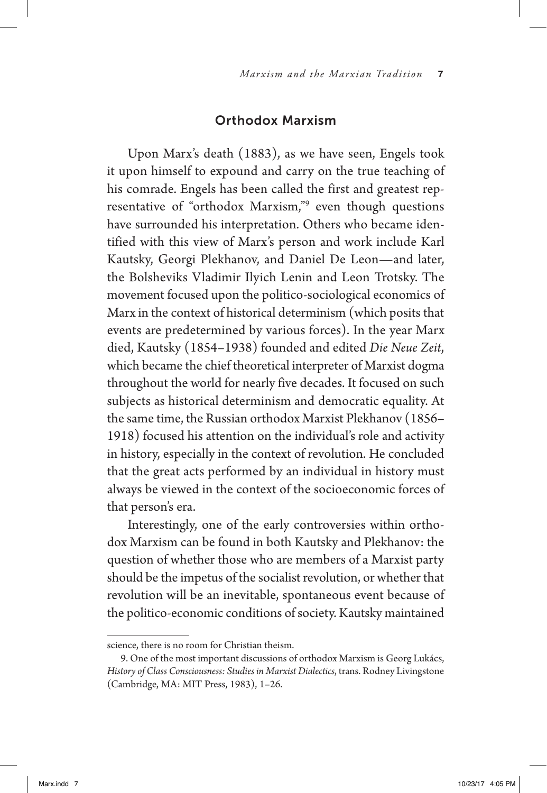#### Orthodox Marxism

Upon Marx's death (1883), as we have seen, Engels took it upon himself to expound and carry on the true teaching of his comrade. Engels has been called the first and greatest representative of "orthodox Marxism,"9 even though questions have surrounded his interpretation. Others who became identified with this view of Marx's person and work include Karl Kautsky, Georgi Plekhanov, and Daniel De Leon—and later, the Bolsheviks Vladimir Ilyich Lenin and Leon Trotsky. The movement focused upon the politico-sociological economics of Marx in the context of historical determinism (which posits that events are predetermined by various forces). In the year Marx died, Kautsky (1854–1938) founded and edited *Die Neue Zeit*, which became the chief theoretical interpreter of Marxist dogma throughout the world for nearly five decades. It focused on such subjects as historical determinism and democratic equality. At the same time, the Russian orthodox Marxist Plekhanov (1856– 1918) focused his attention on the individual's role and activity in history, especially in the context of revolution. He concluded that the great acts performed by an individual in history must always be viewed in the context of the socioeconomic forces of that person's era.

Interestingly, one of the early controversies within orthodox Marxism can be found in both Kautsky and Plekhanov: the question of whether those who are members of a Marxist party should be the impetus of the socialist revolution, or whether that revolution will be an inevitable, spontaneous event because of the politico-economic conditions of society. Kautsky maintained

science, there is no room for Christian theism.

<sup>9.</sup> One of the most important discussions of orthodox Marxism is Georg Lukács, *History of Class Consciousness: Studies in Marxist Dialectics*, trans. Rodney Livingstone (Cambridge, MA: MIT Press, 1983), 1–26.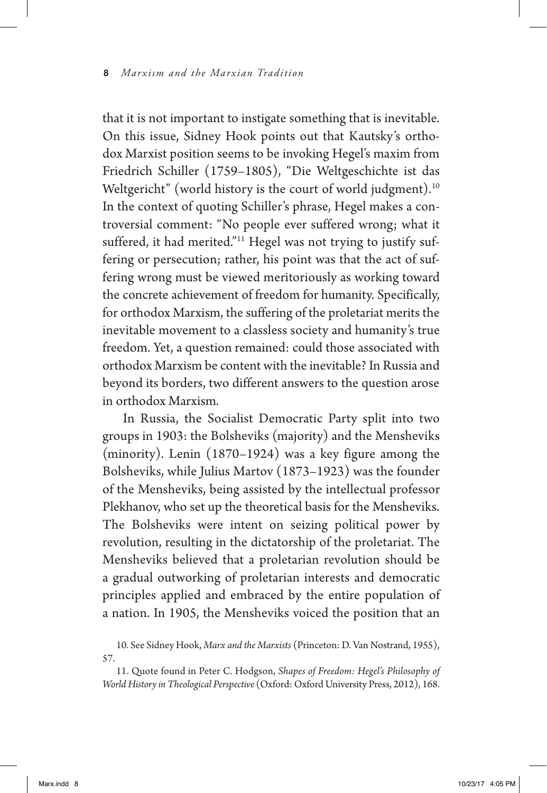that it is not important to instigate something that is inevitable. On this issue, Sidney Hook points out that Kautsky's orthodox Marxist position seems to be invoking Hegel's maxim from Friedrich Schiller (1759–1805), "Die Weltgeschichte ist das Weltgericht" (world history is the court of world judgment).<sup>10</sup> In the context of quoting Schiller's phrase, Hegel makes a controversial comment: "No people ever suffered wrong; what it suffered, it had merited."<sup>11</sup> Hegel was not trying to justify suffering or persecution; rather, his point was that the act of suffering wrong must be viewed meritoriously as working toward the concrete achievement of freedom for humanity. Specifically, for orthodox Marxism, the suffering of the proletariat merits the inevitable movement to a classless society and humanity's true freedom. Yet, a question remained: could those associated with orthodox Marxism be content with the inevitable? In Russia and beyond its borders, two different answers to the question arose in orthodox Marxism.

In Russia, the Socialist Democratic Party split into two groups in 1903: the Bolsheviks (majority) and the Mensheviks (minority). Lenin (1870–1924) was a key figure among the Bolsheviks, while Julius Martov (1873–1923) was the founder of the Mensheviks, being assisted by the intellectual professor Plekhanov, who set up the theoretical basis for the Mensheviks. The Bolsheviks were intent on seizing political power by revolution, resulting in the dictatorship of the proletariat. The Mensheviks believed that a proletarian revolution should be a gradual outworking of proletarian interests and democratic principles applied and embraced by the entire population of a nation. In 1905, the Mensheviks voiced the position that an

<sup>10.</sup> See Sidney Hook, *Marx and the Marxists* (Princeton: D. Van Nostrand, 1955), 57.

<sup>11.</sup> Quote found in Peter C. Hodgson, *Shapes of Freedom: Hegel's Philosophy of World History in Theological Perspective* (Oxford: Oxford University Press, 2012), 168.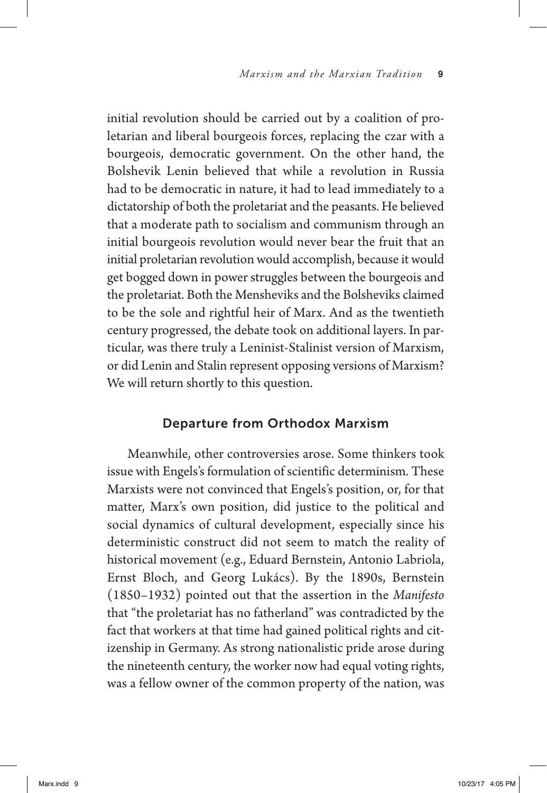initial revolution should be carried out by a coalition of proletarian and liberal bourgeois forces, replacing the czar with a bourgeois, democratic government. On the other hand, the Bolshevik Lenin believed that while a revolution in Russia had to be democratic in nature, it had to lead immediately to a dictatorship of both the proletariat and the peasants. He believed that a moderate path to socialism and communism through an initial bourgeois revolution would never bear the fruit that an initial proletarian revolution would accomplish, because it would get bogged down in power struggles between the bourgeois and the proletariat. Both the Mensheviks and the Bolsheviks claimed to be the sole and rightful heir of Marx. And as the twentieth century progressed, the debate took on additional layers. In particular, was there truly a Leninist-Stalinist version of Marxism, or did Lenin and Stalin represent opposing versions of Marxism? We will return shortly to this question.

#### Departure from Orthodox Marxism

Meanwhile, other controversies arose. Some thinkers took issue with Engels's formulation of scientific determinism. These Marxists were not convinced that Engels's position, or, for that matter, Marx's own position, did justice to the political and social dynamics of cultural development, especially since his deterministic construct did not seem to match the reality of historical movement (e.g., Eduard Bernstein, Antonio Labriola, Ernst Bloch, and Georg Lukács). By the 1890s, Bernstein (1850–1932) pointed out that the assertion in the *Manifesto* that "the proletariat has no fatherland" was contradicted by the fact that workers at that time had gained political rights and citizenship in Germany. As strong nationalistic pride arose during the nineteenth century, the worker now had equal voting rights, was a fellow owner of the common property of the nation, was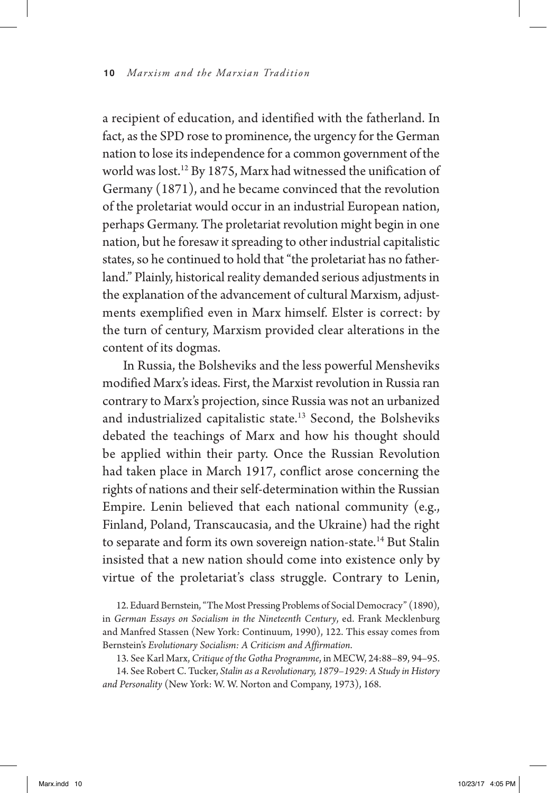a recipient of education, and identified with the fatherland. In fact, as the SPD rose to prominence, the urgency for the German nation to lose its independence for a common government of the world was lost.12 By 1875, Marx had witnessed the unification of Germany (1871), and he became convinced that the revolution of the proletariat would occur in an industrial European nation, perhaps Germany. The proletariat revolution might begin in one nation, but he foresaw it spreading to other industrial capitalistic states, so he continued to hold that "the proletariat has no fatherland." Plainly, historical reality demanded serious adjustments in the explanation of the advancement of cultural Marxism, adjustments exemplified even in Marx himself. Elster is correct: by the turn of century, Marxism provided clear alterations in the content of its dogmas.

In Russia, the Bolsheviks and the less powerful Mensheviks modified Marx's ideas. First, the Marxist revolution in Russia ran contrary to Marx's projection, since Russia was not an urbanized and industrialized capitalistic state.<sup>13</sup> Second, the Bolsheviks debated the teachings of Marx and how his thought should be applied within their party. Once the Russian Revolution had taken place in March 1917, conflict arose concerning the rights of nations and their self-determination within the Russian Empire. Lenin believed that each national community (e.g., Finland, Poland, Transcaucasia, and the Ukraine) had the right to separate and form its own sovereign nation-state.<sup>14</sup> But Stalin insisted that a new nation should come into existence only by virtue of the proletariat's class struggle. Contrary to Lenin,

12. Eduard Bernstein, "The Most Pressing Problems of Social Democracy" (1890), in *German Essays on Socialism in the Nineteenth Century*, ed. Frank Mecklenburg and Manfred Stassen (New York: Continuum, 1990), 122. This essay comes from Bernstein's *Evolutionary Socialism: A Criticism and Affirmation*.

13. See Karl Marx, *Critique of the Gotha Programme*, in MECW, 24:88–89, 94–95.

14. See Robert C. Tucker, *Stalin as a Revolutionary, 1879–1929: A Study in History and Personality* (New York: W. W. Norton and Company, 1973), 168.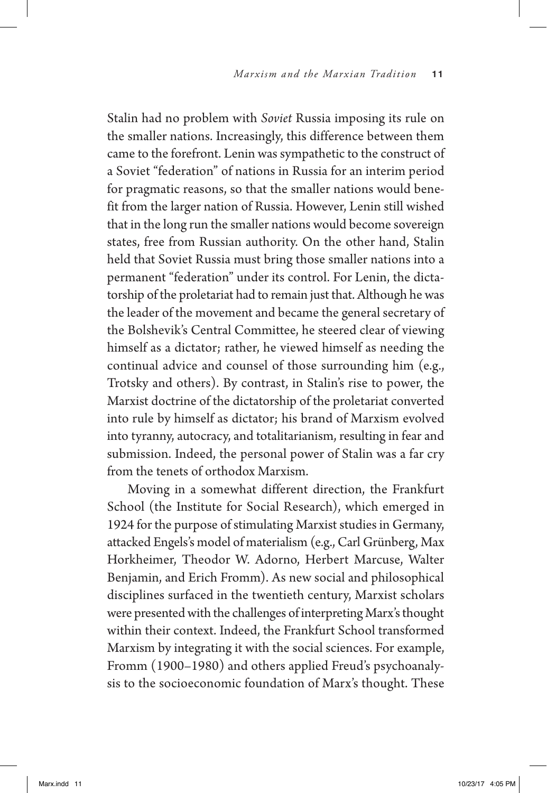Stalin had no problem with *Soviet* Russia imposing its rule on the smaller nations. Increasingly, this difference between them came to the forefront. Lenin was sympathetic to the construct of a Soviet "federation" of nations in Russia for an interim period for pragmatic reasons, so that the smaller nations would benefit from the larger nation of Russia. However, Lenin still wished that in the long run the smaller nations would become sovereign states, free from Russian authority. On the other hand, Stalin held that Soviet Russia must bring those smaller nations into a permanent "federation" under its control. For Lenin, the dictatorship of the proletariat had to remain just that. Although he was the leader of the movement and became the general secretary of the Bolshevik's Central Committee, he steered clear of viewing himself as a dictator; rather, he viewed himself as needing the continual advice and counsel of those surrounding him (e.g., Trotsky and others). By contrast, in Stalin's rise to power, the Marxist doctrine of the dictatorship of the proletariat converted into rule by himself as dictator; his brand of Marxism evolved into tyranny, autocracy, and totalitarianism, resulting in fear and submission. Indeed, the personal power of Stalin was a far cry from the tenets of orthodox Marxism.

Moving in a somewhat different direction, the Frankfurt School (the Institute for Social Research), which emerged in 1924 for the purpose of stimulating Marxist studies in Germany, attacked Engels's model of materialism (e.g., Carl Grünberg, Max Horkheimer, Theodor W. Adorno, Herbert Marcuse, Walter Benjamin, and Erich Fromm). As new social and philosophical disciplines surfaced in the twentieth century, Marxist scholars were presented with the challenges of interpreting Marx's thought within their context. Indeed, the Frankfurt School transformed Marxism by integrating it with the social sciences. For example, Fromm (1900–1980) and others applied Freud's psychoanalysis to the socioeconomic foundation of Marx's thought. These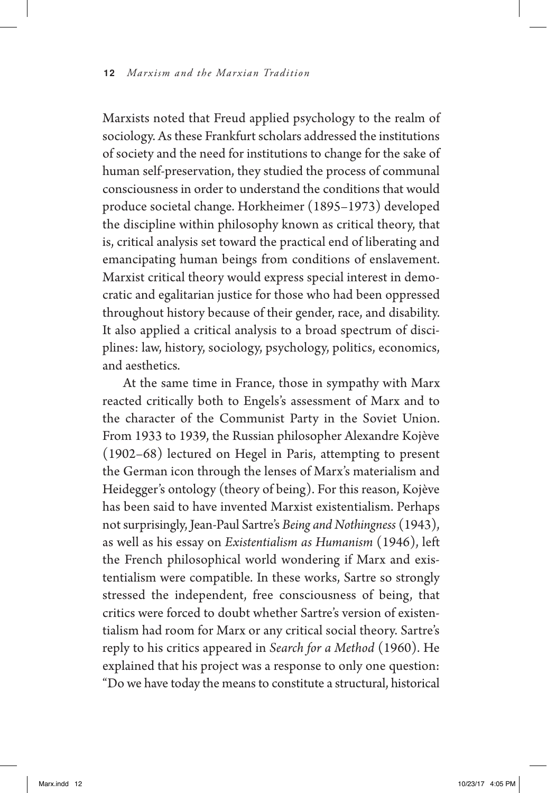Marxists noted that Freud applied psychology to the realm of sociology. As these Frankfurt scholars addressed the institutions of society and the need for institutions to change for the sake of human self-preservation, they studied the process of communal consciousness in order to understand the conditions that would produce societal change. Horkheimer (1895–1973) developed the discipline within philosophy known as critical theory, that is, critical analysis set toward the practical end of liberating and emancipating human beings from conditions of enslavement. Marxist critical theory would express special interest in democratic and egalitarian justice for those who had been oppressed throughout history because of their gender, race, and disability. It also applied a critical analysis to a broad spectrum of disciplines: law, history, sociology, psychology, politics, economics, and aesthetics.

At the same time in France, those in sympathy with Marx reacted critically both to Engels's assessment of Marx and to the character of the Communist Party in the Soviet Union. From 1933 to 1939, the Russian philosopher Alexandre Kojève (1902–68) lectured on Hegel in Paris, attempting to present the German icon through the lenses of Marx's materialism and Heidegger's ontology (theory of being). For this reason, Kojève has been said to have invented Marxist existentialism. Perhaps not surprisingly, Jean-Paul Sartre's *Being and Nothingness* (1943), as well as his essay on *Existentialism as Humanism* (1946), left the French philosophical world wondering if Marx and existentialism were compatible. In these works, Sartre so strongly stressed the independent, free consciousness of being, that critics were forced to doubt whether Sartre's version of existentialism had room for Marx or any critical social theory. Sartre's reply to his critics appeared in *Search for a Method* (1960). He explained that his project was a response to only one question: "Do we have today the means to constitute a structural, historical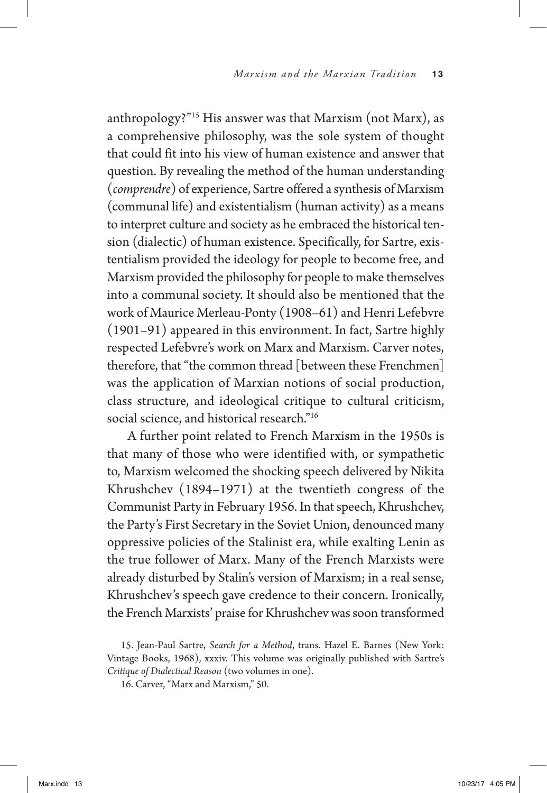anthropology?"15 His answer was that Marxism (not Marx), as a comprehensive philosophy, was the sole system of thought that could fit into his view of human existence and answer that question. By revealing the method of the human understanding (*comprendre*) of experience, Sartre offered a synthesis of Marxism (communal life) and existentialism (human activity) as a means to interpret culture and society as he embraced the historical tension (dialectic) of human existence. Specifically, for Sartre, existentialism provided the ideology for people to become free, and Marxism provided the philosophy for people to make themselves into a communal society. It should also be mentioned that the work of Maurice Merleau-Ponty (1908–61) and Henri Lefebvre (1901–91) appeared in this environment. In fact, Sartre highly respected Lefebvre's work on Marx and Marxism. Carver notes, therefore, that "the common thread [between these Frenchmen] was the application of Marxian notions of social production, class structure, and ideological critique to cultural criticism, social science, and historical research."<sup>16</sup>

A further point related to French Marxism in the 1950s is that many of those who were identified with, or sympathetic to, Marxism welcomed the shocking speech delivered by Nikita Khrushchev (1894–1971) at the twentieth congress of the Communist Party in February 1956. In that speech, Khrushchev, the Party's First Secretary in the Soviet Union, denounced many oppressive policies of the Stalinist era, while exalting Lenin as the true follower of Marx. Many of the French Marxists were already disturbed by Stalin's version of Marxism; in a real sense, Khrushchev's speech gave credence to their concern. Ironically, the French Marxists' praise for Khrushchev was soon transformed

<sup>15.</sup> Jean-Paul Sartre, *Search for a Method*, trans. Hazel E. Barnes (New York: Vintage Books, 1968), xxxiv. This volume was originally published with Sartre's *Critique of Dialectical Reason* (two volumes in one).

<sup>16.</sup> Carver, "Marx and Marxism," 50.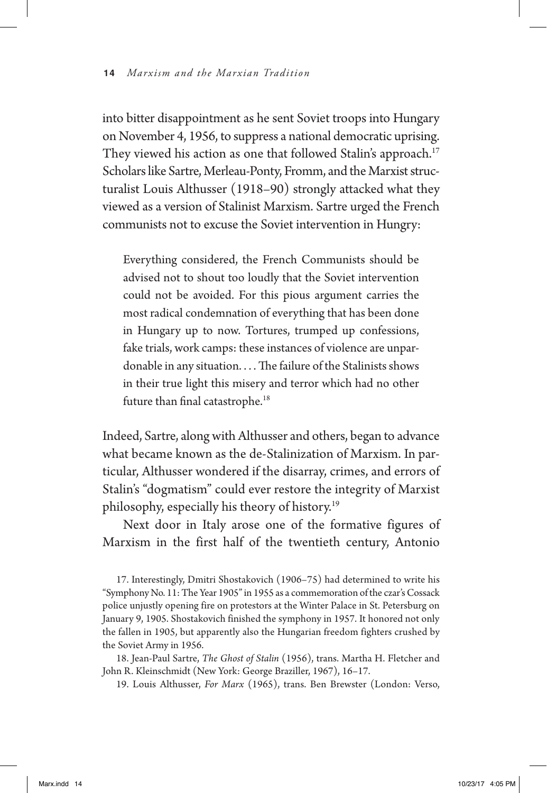into bitter disappointment as he sent Soviet troops into Hungary on November 4, 1956, to suppress a national democratic uprising. They viewed his action as one that followed Stalin's approach.<sup>17</sup> Scholars like Sartre, Merleau-Ponty, Fromm, and the Marxist structuralist Louis Althusser (1918–90) strongly attacked what they viewed as a version of Stalinist Marxism. Sartre urged the French communists not to excuse the Soviet intervention in Hungry:

Everything considered, the French Communists should be advised not to shout too loudly that the Soviet intervention could not be avoided. For this pious argument carries the most radical condemnation of everything that has been done in Hungary up to now. Tortures, trumped up confessions, fake trials, work camps: these instances of violence are unpardonable in any situation. . . . The failure of the Stalinists shows in their true light this misery and terror which had no other future than final catastrophe.<sup>18</sup>

Indeed, Sartre, along with Althusser and others, began to advance what became known as the de-Stalinization of Marxism. In particular, Althusser wondered if the disarray, crimes, and errors of Stalin's "dogmatism" could ever restore the integrity of Marxist philosophy, especially his theory of history.19

Next door in Italy arose one of the formative figures of Marxism in the first half of the twentieth century, Antonio

17. Interestingly, Dmitri Shostakovich (1906–75) had determined to write his "Symphony No. 11: The Year 1905" in 1955 as a commemoration of the czar's Cossack police unjustly opening fire on protestors at the Winter Palace in St. Petersburg on January 9, 1905. Shostakovich finished the symphony in 1957. It honored not only the fallen in 1905, but apparently also the Hungarian freedom fighters crushed by the Soviet Army in 1956.

18. Jean-Paul Sartre, *The Ghost of Stalin* (1956), trans. Martha H. Fletcher and John R. Kleinschmidt (New York: George Braziller, 1967), 16–17.

19. Louis Althusser, *For Marx* (1965), trans. Ben Brewster (London: Verso,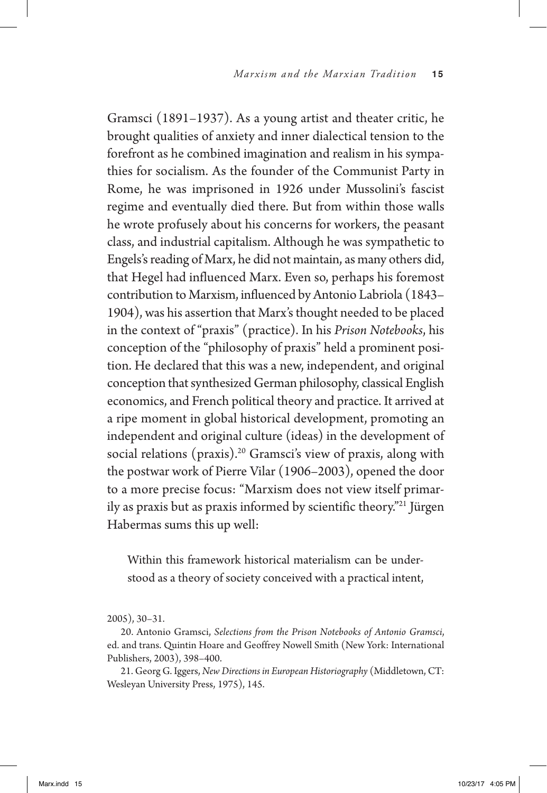Gramsci (1891–1937). As a young artist and theater critic, he brought qualities of anxiety and inner dialectical tension to the forefront as he combined imagination and realism in his sympathies for socialism. As the founder of the Communist Party in Rome, he was imprisoned in 1926 under Mussolini's fascist regime and eventually died there. But from within those walls he wrote profusely about his concerns for workers, the peasant class, and industrial capitalism. Although he was sympathetic to Engels's reading of Marx, he did not maintain, as many others did, that Hegel had influenced Marx. Even so, perhaps his foremost contribution to Marxism, influenced by Antonio Labriola (1843– 1904), was his assertion that Marx's thought needed to be placed in the context of "praxis" (practice). In his *Prison Notebooks*, his conception of the "philosophy of praxis" held a prominent position. He declared that this was a new, independent, and original conception that synthesized German philosophy, classical English economics, and French political theory and practice. It arrived at a ripe moment in global historical development, promoting an independent and original culture (ideas) in the development of social relations (praxis).<sup>20</sup> Gramsci's view of praxis, along with the postwar work of Pierre Vilar (1906–2003), opened the door to a more precise focus: "Marxism does not view itself primarily as praxis but as praxis informed by scientific theory."21 Jürgen Habermas sums this up well:

Within this framework historical materialism can be understood as a theory of society conceived with a practical intent,

2005), 30–31.

21. Georg G. Iggers, *New Directions in European Historiography* (Middletown, CT: Wesleyan University Press, 1975), 145.

<sup>20.</sup> Antonio Gramsci, *Selections from the Prison Notebooks of Antonio Gramsci*, ed. and trans. Quintin Hoare and Geoffrey Nowell Smith (New York: International Publishers, 2003), 398–400.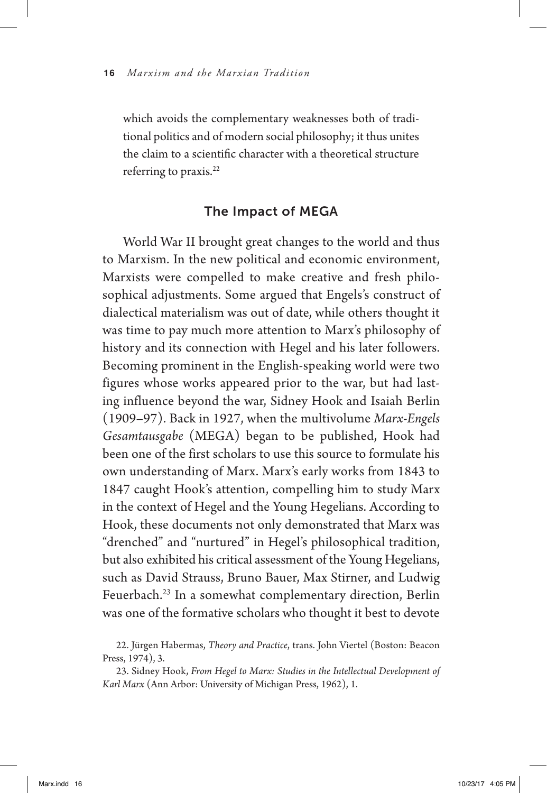which avoids the complementary weaknesses both of traditional politics and of modern social philosophy; it thus unites the claim to a scientifc character with a theoretical structure referring to praxis.<sup>22</sup>

## The Impact of MEGA

World War II brought great changes to the world and thus to Marxism. In the new political and economic environment, Marxists were compelled to make creative and fresh philosophical adjustments. Some argued that Engels's construct of dialectical materialism was out of date, while others thought it was time to pay much more attention to Marx's philosophy of history and its connection with Hegel and his later followers. Becoming prominent in the English-speaking world were two figures whose works appeared prior to the war, but had lasting influence beyond the war, Sidney Hook and Isaiah Berlin (1909–97). Back in 1927, when the multivolume *Marx-Engels Gesamtausgabe* (MEGA) began to be published, Hook had been one of the first scholars to use this source to formulate his own understanding of Marx. Marx's early works from 1843 to 1847 caught Hook's attention, compelling him to study Marx in the context of Hegel and the Young Hegelians. According to Hook, these documents not only demonstrated that Marx was "drenched" and "nurtured" in Hegel's philosophical tradition, but also exhibited his critical assessment of the Young Hegelians, such as David Strauss, Bruno Bauer, Max Stirner, and Ludwig Feuerbach.23 In a somewhat complementary direction, Berlin was one of the formative scholars who thought it best to devote

<sup>22.</sup> Jürgen Habermas, *Theory and Practice*, trans. John Viertel (Boston: Beacon Press, 1974), 3.

<sup>23.</sup> Sidney Hook, *From Hegel to Marx: Studies in the Intellectual Development of Karl Marx* (Ann Arbor: University of Michigan Press, 1962), 1.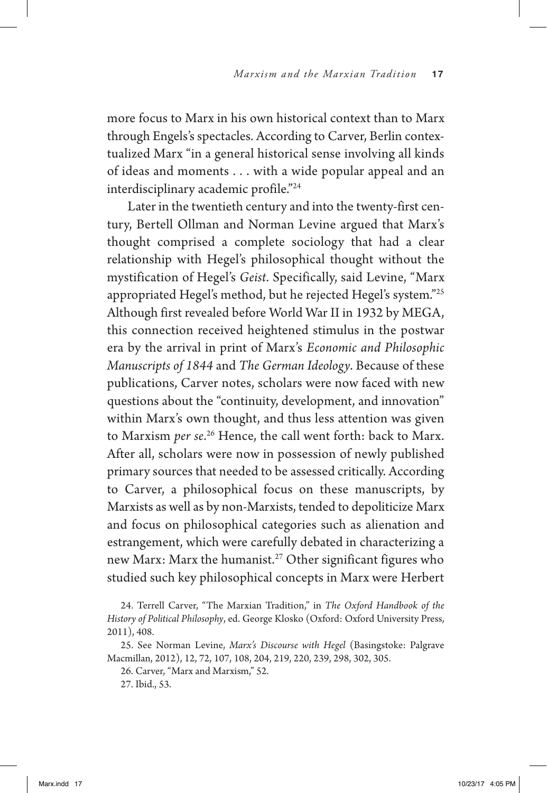more focus to Marx in his own historical context than to Marx through Engels's spectacles. According to Carver, Berlin contextualized Marx "in a general historical sense involving all kinds of ideas and moments . . . with a wide popular appeal and an interdisciplinary academic profile."24

Later in the twentieth century and into the twenty-first century, Bertell Ollman and Norman Levine argued that Marx's thought comprised a complete sociology that had a clear relationship with Hegel's philosophical thought without the mystification of Hegel's *Geist*. Specifically, said Levine, "Marx appropriated Hegel's method, but he rejected Hegel's system."25 Although first revealed before World War II in 1932 by MEGA, this connection received heightened stimulus in the postwar era by the arrival in print of Marx's *Economic and Philosophic Manuscripts of 1844* and *The German Ideology*. Because of these publications, Carver notes, scholars were now faced with new questions about the "continuity, development, and innovation" within Marx's own thought, and thus less attention was given to Marxism *per se*. 26 Hence, the call went forth: back to Marx. After all, scholars were now in possession of newly published primary sources that needed to be assessed critically. According to Carver, a philosophical focus on these manuscripts, by Marxists as well as by non-Marxists, tended to depoliticize Marx and focus on philosophical categories such as alienation and estrangement, which were carefully debated in characterizing a new Marx: Marx the humanist.<sup>27</sup> Other significant figures who studied such key philosophical concepts in Marx were Herbert

26. Carver, "Marx and Marxism," 52.

27. Ibid., 53.

<sup>24.</sup> Terrell Carver, "The Marxian Tradition," in *The Oxford Handbook of the History of Political Philosophy*, ed. George Klosko (Oxford: Oxford University Press, 2011), 408.

<sup>25.</sup> See Norman Levine, *Marx's Discourse with Hegel* (Basingstoke: Palgrave Macmillan, 2012), 12, 72, 107, 108, 204, 219, 220, 239, 298, 302, 305.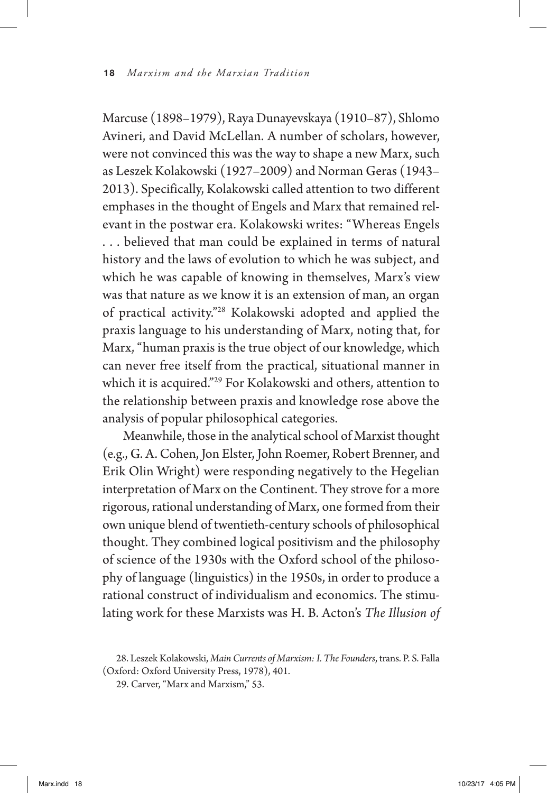Marcuse (1898–1979), Raya Dunayevskaya (1910–87), Shlomo Avineri, and David McLellan. A number of scholars, however, were not convinced this was the way to shape a new Marx, such as Leszek Kolakowski (1927–2009) and Norman Geras (1943– 2013). Specifically, Kolakowski called attention to two different emphases in the thought of Engels and Marx that remained relevant in the postwar era. Kolakowski writes: "Whereas Engels . . . believed that man could be explained in terms of natural history and the laws of evolution to which he was subject, and which he was capable of knowing in themselves, Marx's view was that nature as we know it is an extension of man, an organ of practical activity."28 Kolakowski adopted and applied the praxis language to his understanding of Marx, noting that, for Marx, "human praxis is the true object of our knowledge, which can never free itself from the practical, situational manner in which it is acquired."29 For Kolakowski and others, attention to the relationship between praxis and knowledge rose above the analysis of popular philosophical categories.

Meanwhile, those in the analytical school of Marxist thought (e.g., G. A. Cohen, Jon Elster, John Roemer, Robert Brenner, and Erik Olin Wright) were responding negatively to the Hegelian interpretation of Marx on the Continent. They strove for a more rigorous, rational understanding of Marx, one formed from their own unique blend of twentieth-century schools of philosophical thought. They combined logical positivism and the philosophy of science of the 1930s with the Oxford school of the philosophy of language (linguistics) in the 1950s, in order to produce a rational construct of individualism and economics. The stimulating work for these Marxists was H. B. Acton's *The Illusion of* 

<sup>28.</sup> Leszek Kolakowski, *Main Currents of Marxism: I. The Founders*, trans. P. S. Falla (Oxford: Oxford University Press, 1978), 401.

<sup>29.</sup> Carver, "Marx and Marxism," 53.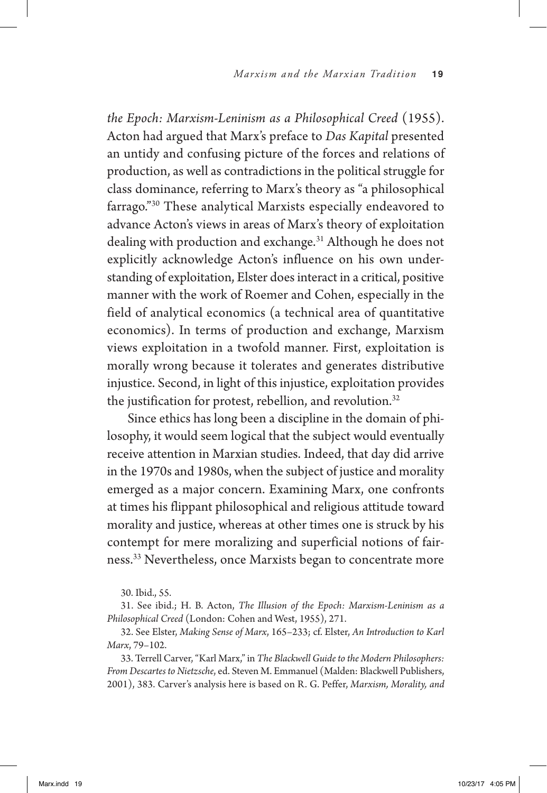*the Epoch: Marxism-Leninism as a Philosophical Creed* (1955). Acton had argued that Marx's preface to *Das Kapital* presented an untidy and confusing picture of the forces and relations of production, as well as contradictions in the political struggle for class dominance, referring to Marx's theory as "a philosophical farrago."30 These analytical Marxists especially endeavored to advance Acton's views in areas of Marx's theory of exploitation dealing with production and exchange.<sup>31</sup> Although he does not explicitly acknowledge Acton's influence on his own understanding of exploitation, Elster does interact in a critical, positive manner with the work of Roemer and Cohen, especially in the field of analytical economics (a technical area of quantitative economics). In terms of production and exchange, Marxism views exploitation in a twofold manner. First, exploitation is morally wrong because it tolerates and generates distributive injustice. Second, in light of this injustice, exploitation provides the justification for protest, rebellion, and revolution.<sup>32</sup>

Since ethics has long been a discipline in the domain of philosophy, it would seem logical that the subject would eventually receive attention in Marxian studies. Indeed, that day did arrive in the 1970s and 1980s, when the subject of justice and morality emerged as a major concern. Examining Marx, one confronts at times his flippant philosophical and religious attitude toward morality and justice, whereas at other times one is struck by his contempt for mere moralizing and superficial notions of fairness.33 Nevertheless, once Marxists began to concentrate more

30. Ibid., 55.

33. Terrell Carver, "Karl Marx," in *The Blackwell Guide to the Modern Philosophers: From Descartes to Nietzsche*, ed. Steven M. Emmanuel (Malden: Blackwell Publishers, 2001), 383. Carver's analysis here is based on R. G. Peffer, *Marxism, Morality, and* 

<sup>31.</sup> See ibid.; H. B. Acton, *The Illusion of the Epoch: Marxism-Leninism as a Philosophical Creed* (London: Cohen and West, 1955), 271.

<sup>32.</sup> See Elster, *Making Sense of Marx*, 165–233; cf. Elster, *An Introduction to Karl Marx*, 79–102.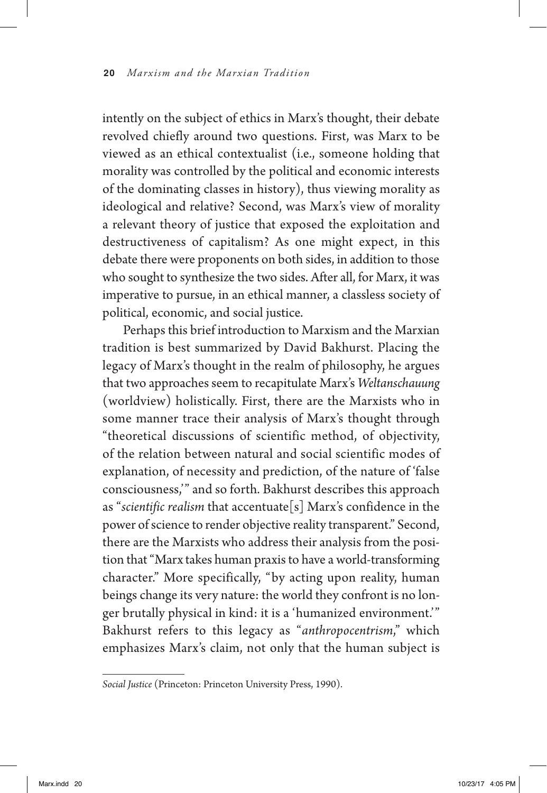intently on the subject of ethics in Marx's thought, their debate revolved chiefly around two questions. First, was Marx to be viewed as an ethical contextualist (i.e., someone holding that morality was controlled by the political and economic interests of the dominating classes in history), thus viewing morality as ideological and relative? Second, was Marx's view of morality a relevant theory of justice that exposed the exploitation and destructiveness of capitalism? As one might expect, in this debate there were proponents on both sides, in addition to those who sought to synthesize the two sides. After all, for Marx, it was imperative to pursue, in an ethical manner, a classless society of political, economic, and social justice.

Perhaps this brief introduction to Marxism and the Marxian tradition is best summarized by David Bakhurst. Placing the legacy of Marx's thought in the realm of philosophy, he argues that two approaches seem to recapitulate Marx's *Weltanschauung* (worldview) holistically. First, there are the Marxists who in some manner trace their analysis of Marx's thought through "theoretical discussions of scientific method, of objectivity, of the relation between natural and social scientific modes of explanation, of necessity and prediction, of the nature of 'false consciousness,'" and so forth. Bakhurst describes this approach as "*scientific realism* that accentuate[s] Marx's confidence in the power of science to render objective reality transparent." Second, there are the Marxists who address their analysis from the position that "Marx takes human praxis to have a world-transforming character." More specifically, "by acting upon reality, human beings change its very nature: the world they confront is no longer brutally physical in kind: it is a 'humanized environment.'" Bakhurst refers to this legacy as "*anthropocentrism*," which emphasizes Marx's claim, not only that the human subject is

*Social Justice* (Princeton: Princeton University Press, 1990).